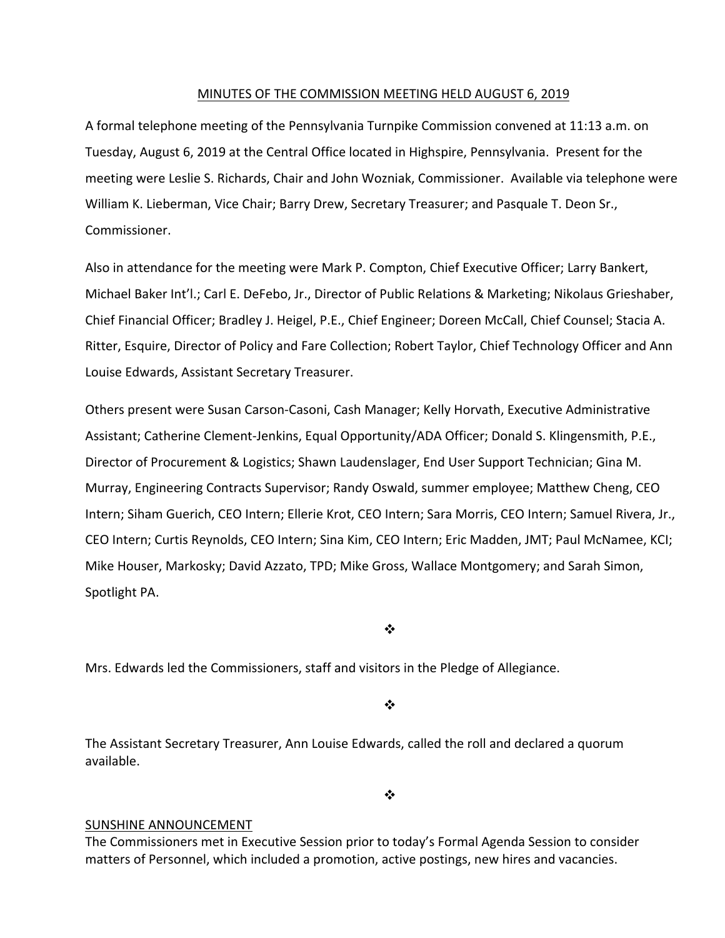#### MINUTES OF THE COMMISSION MEETING HELD AUGUST 6, 2019

A formal telephone meeting of the Pennsylvania Turnpike Commission convened at 11:13 a.m. on Tuesday, August 6, 2019 at the Central Office located in Highspire, Pennsylvania. Present for the meeting were Leslie S. Richards, Chair and John Wozniak, Commissioner. Available via telephone were William K. Lieberman, Vice Chair; Barry Drew, Secretary Treasurer; and Pasquale T. Deon Sr., Commissioner.

Also in attendance for the meeting were Mark P. Compton, Chief Executive Officer; Larry Bankert, Michael Baker Int'l.; Carl E. DeFebo, Jr., Director of Public Relations & Marketing; Nikolaus Grieshaber, Chief Financial Officer; Bradley J. Heigel, P.E., Chief Engineer; Doreen McCall, Chief Counsel; Stacia A. Ritter, Esquire, Director of Policy and Fare Collection; Robert Taylor, Chief Technology Officer and Ann Louise Edwards, Assistant Secretary Treasurer.

Others present were Susan Carson‐Casoni, Cash Manager; Kelly Horvath, Executive Administrative Assistant; Catherine Clement‐Jenkins, Equal Opportunity/ADA Officer; Donald S. Klingensmith, P.E., Director of Procurement & Logistics; Shawn Laudenslager, End User Support Technician; Gina M. Murray, Engineering Contracts Supervisor; Randy Oswald, summer employee; Matthew Cheng, CEO Intern; Siham Guerich, CEO Intern; Ellerie Krot, CEO Intern; Sara Morris, CEO Intern; Samuel Rivera, Jr., CEO Intern; Curtis Reynolds, CEO Intern; Sina Kim, CEO Intern; Eric Madden, JMT; Paul McNamee, KCI; Mike Houser, Markosky; David Azzato, TPD; Mike Gross, Wallace Montgomery; and Sarah Simon, Spotlight PA.

❖

Mrs. Edwards led the Commissioners, staff and visitors in the Pledge of Allegiance.

❖

The Assistant Secretary Treasurer, Ann Louise Edwards, called the roll and declared a quorum available.

 $\bullet^{\bullet}_{\bullet} \bullet$ 

#### SUNSHINE ANNOUNCEMENT

The Commissioners met in Executive Session prior to today's Formal Agenda Session to consider matters of Personnel, which included a promotion, active postings, new hires and vacancies.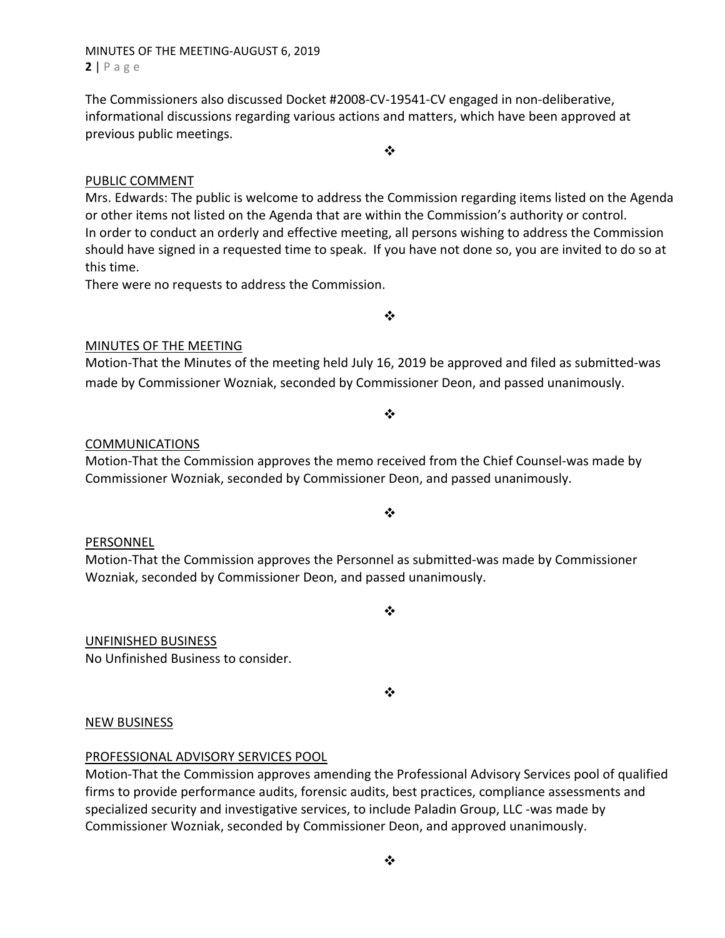# MINUTES OF THE MEETING‐AUGUST 6, 2019 **2** | Page

The Commissioners also discussed Docket #2008‐CV‐19541‐CV engaged in non‐deliberative, informational discussions regarding various actions and matters, which have been approved at previous public meetings.

# PUBLIC COMMENT

Mrs. Edwards: The public is welcome to address the Commission regarding items listed on the Agenda or other items not listed on the Agenda that are within the Commission's authority or control. In order to conduct an orderly and effective meeting, all persons wishing to address the Commission should have signed in a requested time to speak. If you have not done so, you are invited to do so at this time.

❖

There were no requests to address the Commission.

MINUTES OF THE MEETING

Motion‐That the Minutes of the meeting held July 16, 2019 be approved and filed as submitted‐was made by Commissioner Wozniak, seconded by Commissioner Deon, and passed unanimously.

#### COMMUNICATIONS

Motion‐That the Commission approves the memo received from the Chief Counsel‐was made by Commissioner Wozniak, seconded by Commissioner Deon, and passed unanimously.

#### PERSONNEL

Motion‐That the Commission approves the Personnel as submitted‐was made by Commissioner Wozniak, seconded by Commissioner Deon, and passed unanimously.

UNFINISHED BUSINESS

No Unfinished Business to consider.

 $\frac{1}{2}$ 

#### NEW BUSINESS

#### PROFESSIONAL ADVISORY SERVICES POOL

Motion‐That the Commission approves amending the Professional Advisory Services pool of qualified firms to provide performance audits, forensic audits, best practices, compliance assessments and specialized security and investigative services, to include Paladin Group, LLC ‐was made by Commissioner Wozniak, seconded by Commissioner Deon, and approved unanimously.

 $\bullet^{\bullet}_{\bullet} \bullet$ 

 $\frac{1}{2}$ 

❖

 $\frac{1}{2}$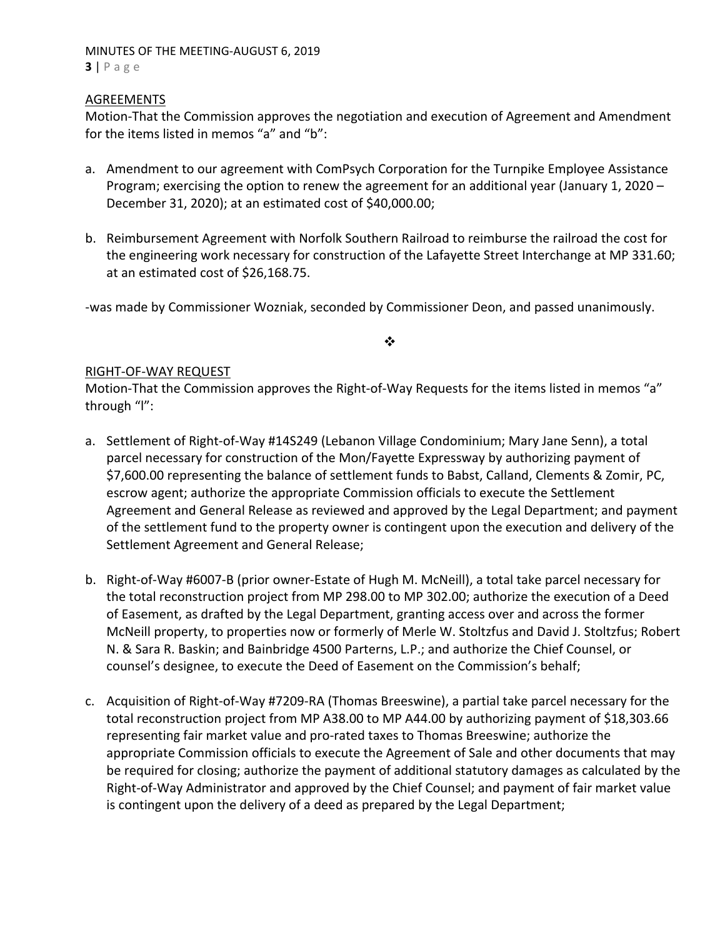## MINUTES OF THE MEETING‐AUGUST 6, 2019 **3** | Page

## **AGREEMENTS**

Motion‐That the Commission approves the negotiation and execution of Agreement and Amendment for the items listed in memos "a" and "b":

- a. Amendment to our agreement with ComPsych Corporation for the Turnpike Employee Assistance Program; exercising the option to renew the agreement for an additional year (January 1, 2020 – December 31, 2020); at an estimated cost of \$40,000.00;
- b. Reimbursement Agreement with Norfolk Southern Railroad to reimburse the railroad the cost for the engineering work necessary for construction of the Lafayette Street Interchange at MP 331.60; at an estimated cost of \$26,168.75.

‐was made by Commissioner Wozniak, seconded by Commissioner Deon, and passed unanimously.

## $\cdot$

# RIGHT‐OF‐WAY REQUEST

Motion-That the Commission approves the Right-of-Way Requests for the items listed in memos "a" through "l":

- a. Settlement of Right-of-Way #14S249 (Lebanon Village Condominium; Mary Jane Senn), a total parcel necessary for construction of the Mon/Fayette Expressway by authorizing payment of \$7,600.00 representing the balance of settlement funds to Babst, Calland, Clements & Zomir, PC, escrow agent; authorize the appropriate Commission officials to execute the Settlement Agreement and General Release as reviewed and approved by the Legal Department; and payment of the settlement fund to the property owner is contingent upon the execution and delivery of the Settlement Agreement and General Release;
- b. Right‐of‐Way #6007‐B (prior owner‐Estate of Hugh M. McNeill), a total take parcel necessary for the total reconstruction project from MP 298.00 to MP 302.00; authorize the execution of a Deed of Easement, as drafted by the Legal Department, granting access over and across the former McNeill property, to properties now or formerly of Merle W. Stoltzfus and David J. Stoltzfus; Robert N. & Sara R. Baskin; and Bainbridge 4500 Parterns, L.P.; and authorize the Chief Counsel, or counsel's designee, to execute the Deed of Easement on the Commission's behalf;
- c. Acquisition of Right‐of‐Way #7209‐RA (Thomas Breeswine), a partial take parcel necessary for the total reconstruction project from MP A38.00 to MP A44.00 by authorizing payment of \$18,303.66 representing fair market value and pro-rated taxes to Thomas Breeswine; authorize the appropriate Commission officials to execute the Agreement of Sale and other documents that may be required for closing; authorize the payment of additional statutory damages as calculated by the Right‐of‐Way Administrator and approved by the Chief Counsel; and payment of fair market value is contingent upon the delivery of a deed as prepared by the Legal Department;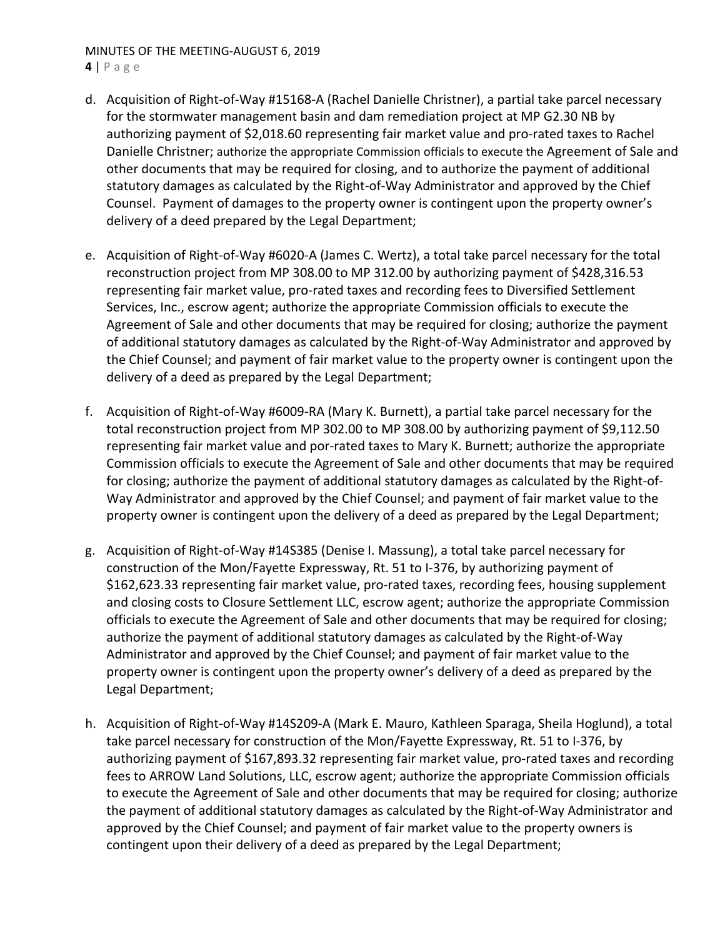# MINUTES OF THE MEETING‐AUGUST 6, 2019

**4** | Page

- d. Acquisition of Right‐of‐Way #15168‐A (Rachel Danielle Christner), a partial take parcel necessary for the stormwater management basin and dam remediation project at MP G2.30 NB by authorizing payment of \$2,018.60 representing fair market value and pro‐rated taxes to Rachel Danielle Christner; authorize the appropriate Commission officials to execute the Agreement of Sale and other documents that may be required for closing, and to authorize the payment of additional statutory damages as calculated by the Right‐of‐Way Administrator and approved by the Chief Counsel. Payment of damages to the property owner is contingent upon the property owner's delivery of a deed prepared by the Legal Department;
- e. Acquisition of Right‐of‐Way #6020‐A (James C. Wertz), a total take parcel necessary for the total reconstruction project from MP 308.00 to MP 312.00 by authorizing payment of \$428,316.53 representing fair market value, pro-rated taxes and recording fees to Diversified Settlement Services, Inc., escrow agent; authorize the appropriate Commission officials to execute the Agreement of Sale and other documents that may be required for closing; authorize the payment of additional statutory damages as calculated by the Right‐of‐Way Administrator and approved by the Chief Counsel; and payment of fair market value to the property owner is contingent upon the delivery of a deed as prepared by the Legal Department;
- f. Acquisition of Right‐of‐Way #6009‐RA (Mary K. Burnett), a partial take parcel necessary for the total reconstruction project from MP 302.00 to MP 308.00 by authorizing payment of \$9,112.50 representing fair market value and por‐rated taxes to Mary K. Burnett; authorize the appropriate Commission officials to execute the Agreement of Sale and other documents that may be required for closing; authorize the payment of additional statutory damages as calculated by the Right‐of‐ Way Administrator and approved by the Chief Counsel; and payment of fair market value to the property owner is contingent upon the delivery of a deed as prepared by the Legal Department;
- g. Acquisition of Right‐of‐Way #14S385 (Denise I. Massung), a total take parcel necessary for construction of the Mon/Fayette Expressway, Rt. 51 to I‐376, by authorizing payment of \$162,623.33 representing fair market value, pro‐rated taxes, recording fees, housing supplement and closing costs to Closure Settlement LLC, escrow agent; authorize the appropriate Commission officials to execute the Agreement of Sale and other documents that may be required for closing; authorize the payment of additional statutory damages as calculated by the Right‐of‐Way Administrator and approved by the Chief Counsel; and payment of fair market value to the property owner is contingent upon the property owner's delivery of a deed as prepared by the Legal Department;
- h. Acquisition of Right‐of‐Way #14S209‐A (Mark E. Mauro, Kathleen Sparaga, Sheila Hoglund), a total take parcel necessary for construction of the Mon/Fayette Expressway, Rt. 51 to I‐376, by authorizing payment of \$167,893.32 representing fair market value, pro‐rated taxes and recording fees to ARROW Land Solutions, LLC, escrow agent; authorize the appropriate Commission officials to execute the Agreement of Sale and other documents that may be required for closing; authorize the payment of additional statutory damages as calculated by the Right‐of‐Way Administrator and approved by the Chief Counsel; and payment of fair market value to the property owners is contingent upon their delivery of a deed as prepared by the Legal Department;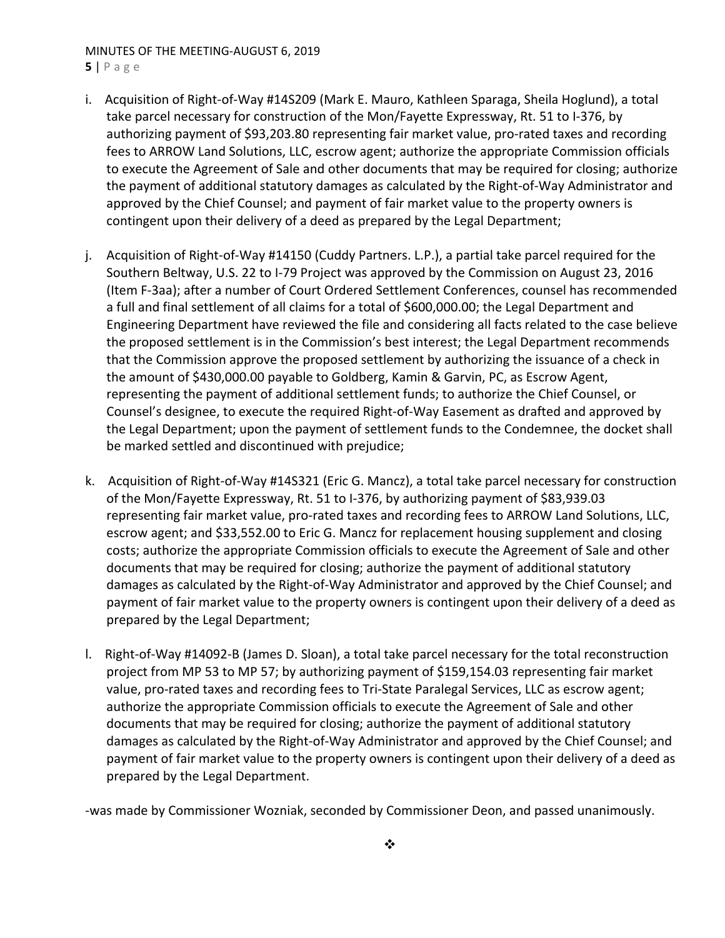# MINUTES OF THE MEETING‐AUGUST 6, 2019

**5** | Page

- i. Acquisition of Right-of-Way #14S209 (Mark E. Mauro, Kathleen Sparaga, Sheila Hoglund), a total take parcel necessary for construction of the Mon/Fayette Expressway, Rt. 51 to I‐376, by authorizing payment of \$93,203.80 representing fair market value, pro-rated taxes and recording fees to ARROW Land Solutions, LLC, escrow agent; authorize the appropriate Commission officials to execute the Agreement of Sale and other documents that may be required for closing; authorize the payment of additional statutory damages as calculated by the Right‐of‐Way Administrator and approved by the Chief Counsel; and payment of fair market value to the property owners is contingent upon their delivery of a deed as prepared by the Legal Department;
- j. Acquisition of Right‐of‐Way #14150 (Cuddy Partners. L.P.), a partial take parcel required for the Southern Beltway, U.S. 22 to I‐79 Project was approved by the Commission on August 23, 2016 (Item F‐3aa); after a number of Court Ordered Settlement Conferences, counsel has recommended a full and final settlement of all claims for a total of \$600,000.00; the Legal Department and Engineering Department have reviewed the file and considering all facts related to the case believe the proposed settlement is in the Commission's best interest; the Legal Department recommends that the Commission approve the proposed settlement by authorizing the issuance of a check in the amount of \$430,000.00 payable to Goldberg, Kamin & Garvin, PC, as Escrow Agent, representing the payment of additional settlement funds; to authorize the Chief Counsel, or Counsel's designee, to execute the required Right‐of‐Way Easement as drafted and approved by the Legal Department; upon the payment of settlement funds to the Condemnee, the docket shall be marked settled and discontinued with prejudice;
- k. Acquisition of Right-of-Way #14S321 (Eric G. Mancz), a total take parcel necessary for construction of the Mon/Fayette Expressway, Rt. 51 to I‐376, by authorizing payment of \$83,939.03 representing fair market value, pro-rated taxes and recording fees to ARROW Land Solutions, LLC, escrow agent; and \$33,552.00 to Eric G. Mancz for replacement housing supplement and closing costs; authorize the appropriate Commission officials to execute the Agreement of Sale and other documents that may be required for closing; authorize the payment of additional statutory damages as calculated by the Right‐of‐Way Administrator and approved by the Chief Counsel; and payment of fair market value to the property owners is contingent upon their delivery of a deed as prepared by the Legal Department;
- l. Right-of-Way #14092-B (James D. Sloan), a total take parcel necessary for the total reconstruction project from MP 53 to MP 57; by authorizing payment of \$159,154.03 representing fair market value, pro‐rated taxes and recording fees to Tri‐State Paralegal Services, LLC as escrow agent; authorize the appropriate Commission officials to execute the Agreement of Sale and other documents that may be required for closing; authorize the payment of additional statutory damages as calculated by the Right‐of‐Way Administrator and approved by the Chief Counsel; and payment of fair market value to the property owners is contingent upon their delivery of a deed as prepared by the Legal Department.

‐was made by Commissioner Wozniak, seconded by Commissioner Deon, and passed unanimously.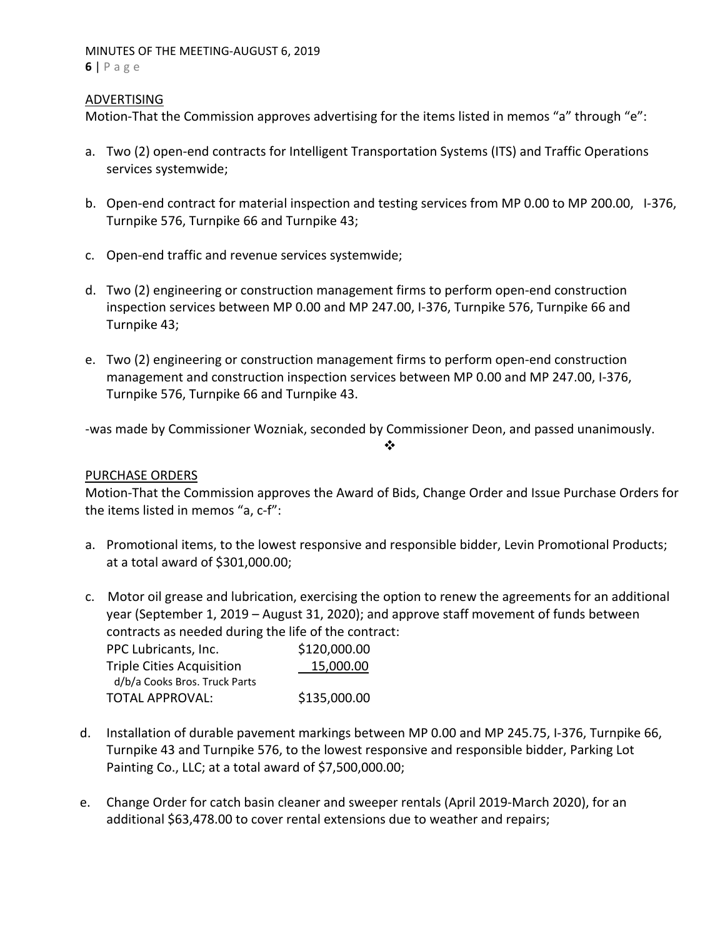## MINUTES OF THE MEETING‐AUGUST 6, 2019 **6** | Page

# ADVERTISING

Motion-That the Commission approves advertising for the items listed in memos "a" through "e":

- a. Two (2) open-end contracts for Intelligent Transportation Systems (ITS) and Traffic Operations services systemwide;
- b. Open-end contract for material inspection and testing services from MP 0.00 to MP 200.00, I-376, Turnpike 576, Turnpike 66 and Turnpike 43;
- c. Open‐end traffic and revenue services systemwide;
- d. Two (2) engineering or construction management firms to perform open‐end construction inspection services between MP 0.00 and MP 247.00, I‐376, Turnpike 576, Turnpike 66 and Turnpike 43;
- e. Two (2) engineering or construction management firms to perform open‐end construction management and construction inspection services between MP 0.00 and MP 247.00, I‐376, Turnpike 576, Turnpike 66 and Turnpike 43.

‐was made by Commissioner Wozniak, seconded by Commissioner Deon, and passed unanimously.

#### ❖

# PURCHASE ORDERS

Motion‐That the Commission approves the Award of Bids, Change Order and Issue Purchase Orders for the items listed in memos "a, c‐f":

- a. Promotional items, to the lowest responsive and responsible bidder, Levin Promotional Products; at a total award of \$301,000.00;
- c. Motor oil grease and lubrication, exercising the option to renew the agreements for an additional year (September 1, 2019 – August 31, 2020); and approve staff movement of funds between contracts as needed during the life of the contract:

| PPC Lubricants, Inc.             | \$120,000.00 |
|----------------------------------|--------------|
| <b>Triple Cities Acquisition</b> | 15,000.00    |
| d/b/a Cooks Bros. Truck Parts    |              |
| <b>TOTAL APPROVAL:</b>           | \$135,000.00 |

- d. Installation of durable pavement markings between MP 0.00 and MP 245.75, I‐376, Turnpike 66, Turnpike 43 and Turnpike 576, to the lowest responsive and responsible bidder, Parking Lot Painting Co., LLC; at a total award of \$7,500,000.00;
- e. Change Order for catch basin cleaner and sweeper rentals (April 2019‐March 2020), for an additional \$63,478.00 to cover rental extensions due to weather and repairs;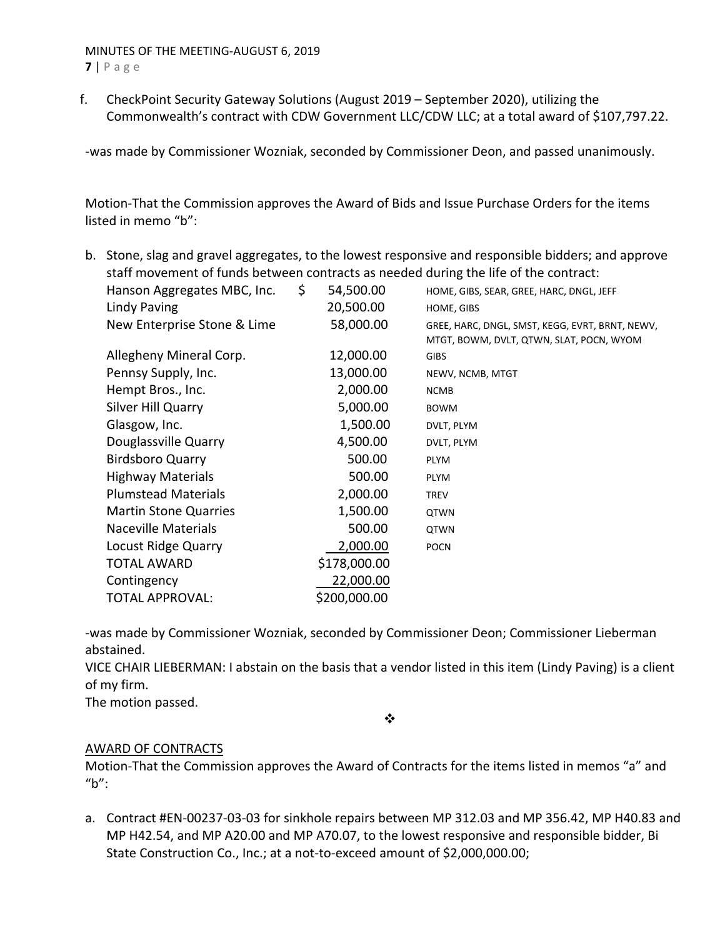# MINUTES OF THE MEETING‐AUGUST 6, 2019

**7** | Page

f. CheckPoint Security Gateway Solutions (August 2019 – September 2020), utilizing the Commonwealth's contract with CDW Government LLC/CDW LLC; at a total award of \$107,797.22.

‐was made by Commissioner Wozniak, seconded by Commissioner Deon, and passed unanimously.

Motion‐That the Commission approves the Award of Bids and Issue Purchase Orders for the items listed in memo "b":

b. Stone, slag and gravel aggregates, to the lowest responsive and responsible bidders; and approve staff movement of funds between contracts as needed during the life of the contract:

| Hanson Aggregates MBC, Inc.  | \$<br>54,500.00 | HOME, GIBS, SEAR, GREE, HARC, DNGL, JEFF                                                    |
|------------------------------|-----------------|---------------------------------------------------------------------------------------------|
| Lindy Paving                 | 20,500.00       | HOME, GIBS                                                                                  |
| New Enterprise Stone & Lime  | 58,000.00       | GREE, HARC, DNGL, SMST, KEGG, EVRT, BRNT, NEWV,<br>MTGT, BOWM, DVLT, QTWN, SLAT, POCN, WYOM |
| Allegheny Mineral Corp.      | 12,000.00       | <b>GIBS</b>                                                                                 |
| Pennsy Supply, Inc.          | 13,000.00       | NEWV, NCMB, MTGT                                                                            |
| Hempt Bros., Inc.            | 2,000.00        | <b>NCMB</b>                                                                                 |
| Silver Hill Quarry           | 5,000.00        | <b>BOWM</b>                                                                                 |
| Glasgow, Inc.                | 1,500.00        | DVLT, PLYM                                                                                  |
| Douglassville Quarry         | 4,500.00        | DVLT, PLYM                                                                                  |
| <b>Birdsboro Quarry</b>      | 500.00          | <b>PLYM</b>                                                                                 |
| <b>Highway Materials</b>     | 500.00          | <b>PLYM</b>                                                                                 |
| <b>Plumstead Materials</b>   | 2,000.00        | <b>TREV</b>                                                                                 |
| <b>Martin Stone Quarries</b> | 1,500.00        | <b>QTWN</b>                                                                                 |
| <b>Naceville Materials</b>   | 500.00          | <b>QTWN</b>                                                                                 |
| Locust Ridge Quarry          | 2,000.00        | <b>POCN</b>                                                                                 |
| <b>TOTAL AWARD</b>           | \$178,000.00    |                                                                                             |
| Contingency                  | 22,000.00       |                                                                                             |
| TOTAL APPROVAL:              | \$200,000.00    |                                                                                             |
|                              |                 |                                                                                             |

‐was made by Commissioner Wozniak, seconded by Commissioner Deon; Commissioner Lieberman abstained.

VICE CHAIR LIEBERMAN: I abstain on the basis that a vendor listed in this item (Lindy Paving) is a client of my firm.

The motion passed.

 $\frac{1}{2}$ 

# AWARD OF CONTRACTS

Motion‐That the Commission approves the Award of Contracts for the items listed in memos "a" and  $"b"$ :

a. Contract #EN‐00237‐03‐03 for sinkhole repairs between MP 312.03 and MP 356.42, MP H40.83 and MP H42.54, and MP A20.00 and MP A70.07, to the lowest responsive and responsible bidder, Bi State Construction Co., Inc.; at a not-to-exceed amount of \$2,000,000.00;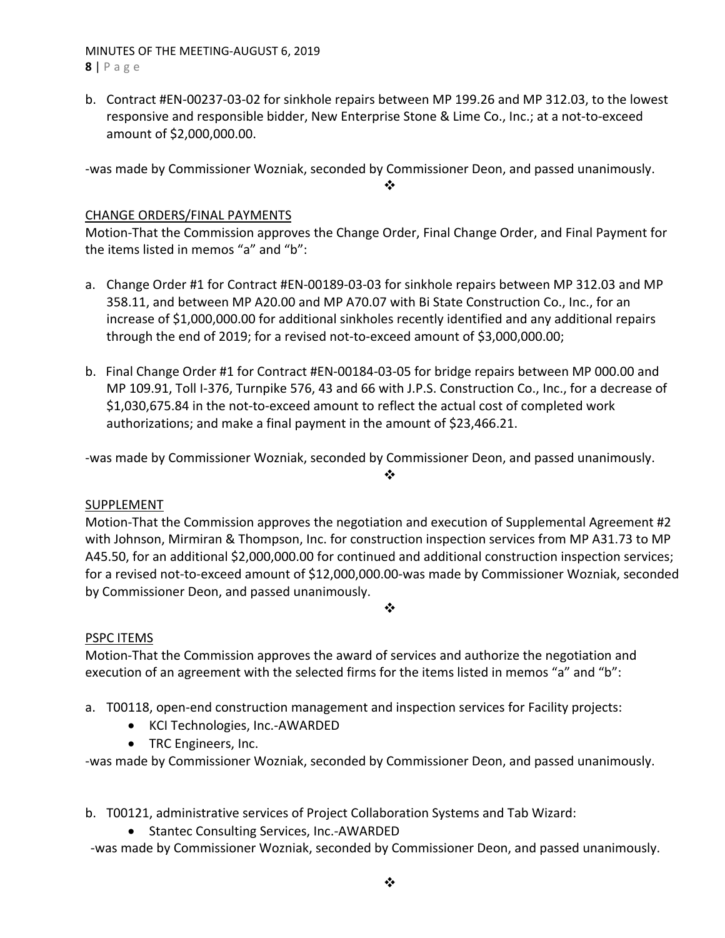MINUTES OF THE MEETING‐AUGUST 6, 2019 **8** | Page

b. Contract #EN‐00237‐03‐02 for sinkhole repairs between MP 199.26 and MP 312.03, to the lowest responsive and responsible bidder, New Enterprise Stone & Lime Co., Inc.; at a not‐to‐exceed amount of \$2,000,000.00.

‐was made by Commissioner Wozniak, seconded by Commissioner Deon, and passed unanimously.

❖

# CHANGE ORDERS/FINAL PAYMENTS

Motion‐That the Commission approves the Change Order, Final Change Order, and Final Payment for the items listed in memos "a" and "b":

- a. Change Order #1 for Contract #EN‐00189‐03‐03 for sinkhole repairs between MP 312.03 and MP 358.11, and between MP A20.00 and MP A70.07 with Bi State Construction Co., Inc., for an increase of \$1,000,000.00 for additional sinkholes recently identified and any additional repairs through the end of 2019; for a revised not‐to‐exceed amount of \$3,000,000.00;
- b. Final Change Order #1 for Contract #EN‐00184‐03‐05 for bridge repairs between MP 000.00 and MP 109.91, Toll I‐376, Turnpike 576, 43 and 66 with J.P.S. Construction Co., Inc., for a decrease of \$1,030,675.84 in the not-to-exceed amount to reflect the actual cost of completed work authorizations; and make a final payment in the amount of \$23,466.21.

‐was made by Commissioner Wozniak, seconded by Commissioner Deon, and passed unanimously.

# $\frac{1}{2}$

# SUPPLEMENT

Motion-That the Commission approves the negotiation and execution of Supplemental Agreement #2 with Johnson, Mirmiran & Thompson, Inc. for construction inspection services from MP A31.73 to MP A45.50, for an additional \$2,000,000.00 for continued and additional construction inspection services; for a revised not‐to‐exceed amount of \$12,000,000.00‐was made by Commissioner Wozniak, seconded by Commissioner Deon, and passed unanimously.

❖

# PSPC ITEMS

Motion‐That the Commission approves the award of services and authorize the negotiation and execution of an agreement with the selected firms for the items listed in memos "a" and "b":

- a. T00118, open-end construction management and inspection services for Facility projects:
	- KCI Technologies, Inc.-AWARDED
	- TRC Engineers, Inc.

‐was made by Commissioner Wozniak, seconded by Commissioner Deon, and passed unanimously.

- b. T00121, administrative services of Project Collaboration Systems and Tab Wizard:
	- Stantec Consulting Services, Inc.-AWARDED

‐was made by Commissioner Wozniak, seconded by Commissioner Deon, and passed unanimously.